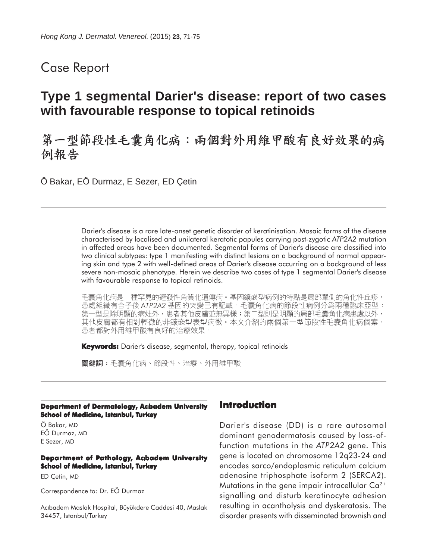# Case Report

# **Type 1 segmental Darier's disease: report of two cases with favourable response to topical retinoids**

第一型節段性毛囊角化病:兩個對外用維甲酸有良好效果的病 例報告

Ö Bakar, EÖ Durmaz, E Sezer, ED Çetin

Darier's disease is a rare late-onset genetic disorder of keratinisation. Mosaic forms of the disease characterised by localised and unilateral keratotic papules carrying post-zygotic *ATP2A2* mutation in affected areas have been documented. Segmental forms of Darier's disease are classified into two clinical subtypes: type 1 manifesting with distinct lesions on a background of normal appearing skin and type 2 with well-defined areas of Darier's disease occurring on a background of less severe non-mosaic phenotype. Herein we describe two cases of type 1 segmental Darier's disease with favourable response to topical retinoids.

毛囊角化病是一種罕見的遲發性角質化遺傳病。基因鑲嵌型病例的特點是局部單側的角化性丘疹, 患處組織有合子後 ATP2A2 基因的突變已有記載。毛囊角化病的節段性病例分爲兩種臨床亞型:<br>第一型是除明顯的病灶外,患者其他皮膚並無異樣;第二型則是明顯的局部毛囊角化病患處以外, 其他皮膚都有相對輕微的非鑲嵌型表型病徵。本文介紹的兩個第一型節段性毛囊角化病個案, 患者都對外用維甲酸有良好的治療效果。

**Keywords:** Darier's disease, segmental, therapy, topical retinoids

關鍵詞:毛囊角化病、節段性、治療、外用維甲酸

#### **Department of Dermatology, Acbadem University School of Medicine, Istanbul, Turkey**

Ö Bakar, MD EÖ Durmaz, MD E Sezer, MD

#### **Department of Pathology, Acıbadem University School of Medicine, Istanbul, Turkey**

ED Çetin, MD

Correspondence to: Dr. EÖ Durmaz

AcIbadem Maslak Hospital, Büyükdere Caddesi 40, Maslak 34457, Istanbul/Turkey

### **Introduction**

Darier's disease (DD) is a rare autosomal dominant genodermatosis caused by loss-offunction mutations in the *ATP2A2* gene. This gene is located on chromosome 12q23-24 and encodes sarco/endoplasmic reticulum calcium adenosine triphosphate isoform 2 (SERCA2). Mutations in the gene impair intracellular  $Ca^{2+}$ signalling and disturb keratinocyte adhesion resulting in acantholysis and dyskeratosis. The disorder presents with disseminated brownish and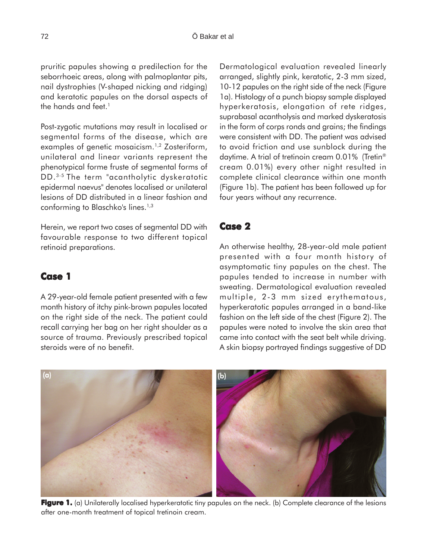pruritic papules showing a predilection for the seborrhoeic areas, along with palmoplantar pits, nail dystrophies (V-shaped nicking and ridging) and keratotic papules on the dorsal aspects of the hands and feet.<sup>1</sup>

Post-zygotic mutations may result in localised or segmental forms of the disease, which are examples of genetic mosaicism.<sup>1,2</sup> Zosteriform, unilateral and linear variants represent the phenotypical forme fruste of segmental forms of DD.3-5 The term "acantholytic dyskeratotic epidermal naevus" denotes localised or unilateral lesions of DD distributed in a linear fashion and conforming to Blaschko's lines.<sup>1,3</sup>

Herein, we report two cases of segmental DD with favourable response to two different topical retinoid preparations.

# **Case 1**

A 29-year-old female patient presented with a few month history of itchy pink-brown papules located on the right side of the neck. The patient could recall carrying her bag on her right shoulder as a source of trauma. Previously prescribed topical steroids were of no benefit.

Dermatological evaluation revealed linearly arranged, slightly pink, keratotic, 2-3 mm sized, 10-12 papules on the right side of the neck (Figure 1a). Histology of a punch biopsy sample displayed hyperkeratosis, elongation of rete ridges, suprabasal acantholysis and marked dyskeratosis in the form of corps ronds and grains; the findings were consistent with DD. The patient was advised to avoid friction and use sunblock during the daytime. A trial of tretinoin cream 0.01% (Tretin<sup>®</sup> cream 0.01%) every other night resulted in complete clinical clearance within one month (Figure 1b). The patient has been followed up for four years without any recurrence.

# **Case 2**

An otherwise healthy, 28-year-old male patient presented with a four month history of asymptomatic tiny papules on the chest. The papules tended to increase in number with sweating. Dermatological evaluation revealed multiple, 2-3 mm sized erythematous, hyperkeratotic papules arranged in a band-like fashion on the left side of the chest (Figure 2). The papules were noted to involve the skin area that came into contact with the seat belt while driving. A skin biopsy portrayed findings suggestive of DD



**Figure 1.** (a) Unilaterally localised hyperkeratotic tiny papules on the neck. (b) Complete clearance of the lesions after one-month treatment of topical tretinoin cream.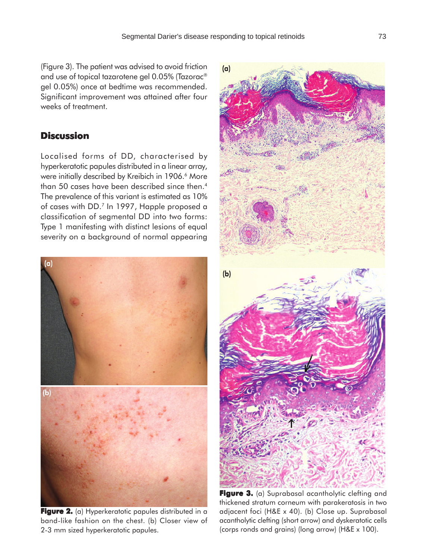(Figure 3). The patient was advised to avoid friction and use of topical tazarotene gel 0.05% (Tazorac® gel 0.05%) once at bedtime was recommended. Significant improvement was attained after four weeks of treatment.

## **Discussion**

Localised forms of DD, characterised by hyperkeratotic papules distributed in a linear array, were initially described by Kreibich in 1906.<sup>6</sup> More than 50 cases have been described since then.<sup>4</sup> The prevalence of this variant is estimated as 10% of cases with DD.7 In 1997, Happle proposed a classification of segmental DD into two forms: Type 1 manifesting with distinct lesions of equal severity on a background of normal appearing



**Figure 2.** (a) Hyperkeratotic papules distributed in a band-like fashion on the chest. (b) Closer view of 2-3 mm sized hyperkeratotic papules.



Figure 3. (a) Suprabasal acantholytic clefting and thickened stratum corneum with parakeratosis in two adjacent foci (H&E x 40). (b) Close up. Suprabasal acantholytic clefting (short arrow) and dyskeratotic cells (corps ronds and grains) (long arrow) (H&E x 100).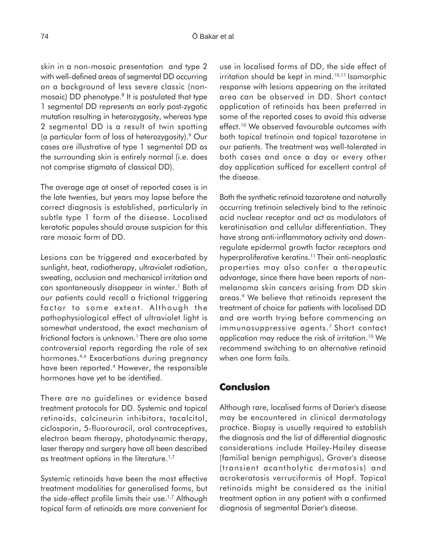skin in a non-mosaic presentation and type 2 with well-defined areas of segmental DD occurring on a background of less severe classic (nonmosaic) DD phenotype.<sup>8</sup> It is postulated that type 1 segmental DD represents an early post-zygotic mutation resulting in heterozygosity, whereas type 2 segmental DD is a result of twin spotting (a particular form of loss of heterozygosity).9 Our cases are illustrative of type 1 segmental DD as the surrounding skin is entirely normal (i.e. does not comprise stigmata of classical DD).

The average age at onset of reported cases is in the late twenties, but years may lapse before the correct diagnosis is established, particularly in subtle type 1 form of the disease. Localised keratotic papules should arouse suspicion for this rare mosaic form of DD.

Lesions can be triggered and exacerbated by sunlight, heat, radiotherapy, ultraviolet radiation, sweating, occlusion and mechanical irritation and can spontaneously disappear in winter.<sup>1</sup> Both of our patients could recall a frictional triggering factor to some extent. Although the pathophysiological effect of ultraviolet light is somewhat understood, the exact mechanism of frictional factors is unknown.<sup>1</sup> There are also some controversial reports regarding the role of sex hormones.<sup>4,6</sup> Exacerbations during pregnancy have been reported.4 However, the responsible hormones have yet to be identified.

There are no guidelines or evidence based treatment protocols for DD. Systemic and topical retinoids, calcineurin inhibitors, tacalcitol, ciclosporin, 5-fluorouracil, oral contraceptives, electron beam therapy, photodynamic therapy, laser therapy and surgery have all been described as treatment options in the literature.<sup>1,7</sup>

Systemic retinoids have been the most effective treatment modalities for generalised forms, but the side-effect profile limits their use.<sup>1,7</sup> Although topical form of retinoids are more convenient for use in localised forms of DD, the side effect of irritation should be kept in mind. $10,11$  Isomorphic response with lesions appearing on the irritated area can be observed in DD. Short contact application of retinoids has been preferred in some of the reported cases to avoid this adverse effect.<sup>10</sup> We observed favourable outcomes with both topical tretinoin and topical tazarotene in our patients. The treatment was well-tolerated in both cases and once a day or every other day application sufficed for excellent control of the disease.

Both the synthetic retinoid tazarotene and naturally occurring tretinoin selectively bind to the retinoic acid nuclear receptor and act as modulators of keratinisation and cellular differentiation. They have strong anti-inflammatory activity and downregulate epidermal growth factor receptors and hyperproliferative keratins.<sup>11</sup> Their anti-neoplastic properties may also confer a therapeutic advantage, since there have been reports of nonmelanoma skin cancers arising from DD skin areas.9 We believe that retinoids represent the treatment of choice for patients with localised DD and are worth trying before commencing on immunosuppressive agents.<sup>7</sup> Short contact application may reduce the risk of irritation.10 We recommend switching to an alternative retinoid when one form fails.

### **Conclusion**

Although rare, localised forms of Darier's disease may be encountered in clinical dermatology practice. Biopsy is usually required to establish the diagnosis and the list of differential diagnostic considerations include Hailey-Hailey disease (familial benign pemphigus), Grover's disease (transient acantholytic dermatosis) and acrokeratosis verruciformis of Hopf. Topical retinoids might be considered as the initial treatment option in any patient with a confirmed diagnosis of segmental Darier's disease.